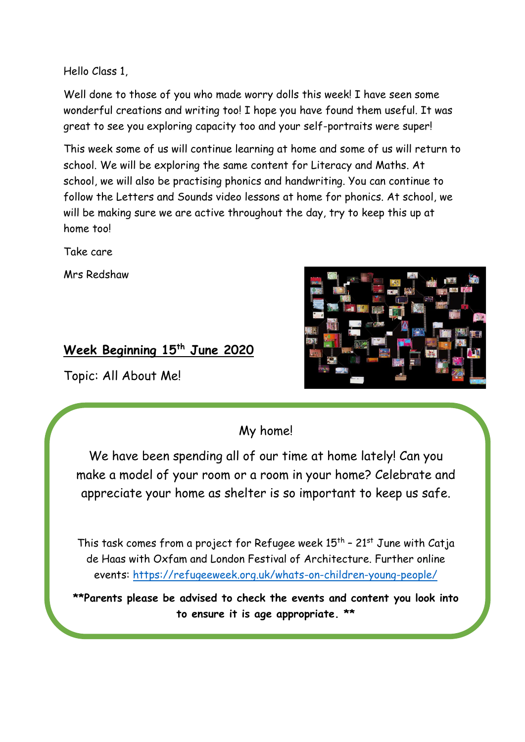Hello Class 1,

Well done to those of you who made worry dolls this week! I have seen some wonderful creations and writing too! I hope you have found them useful. It was great to see you exploring capacity too and your self-portraits were super!

This week some of us will continue learning at home and some of us will return to school. We will be exploring the same content for Literacy and Maths. At school, we will also be practising phonics and handwriting. You can continue to follow the Letters and Sounds video lessons at home for phonics. At school, we will be making sure we are active throughout the day, try to keep this up at home too!

Take care

Mrs Redshaw

# **Week Beginning 15th June 2020**

Topic: All About Me!



My home!

We have been spending all of our time at home lately! Can you make a model of your room or a room in your home? Celebrate and appreciate your home as shelter is so important to keep us safe.

This task comes from a project for Refugee week  $15^{th}$  -  $21^{st}$  June with Catja de Haas with Oxfam and London Festival of Architecture. Further online events:<https://refugeeweek.org.uk/whats-on-children-young-people/>

**\*\*Parents please be advised to check the events and content you look into to ensure it is age appropriate. \*\***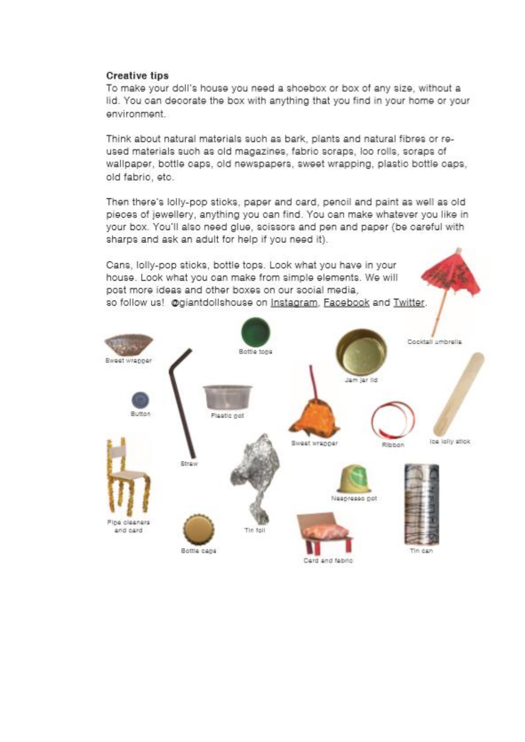#### **Creative tips**

To make your doll's house you need a shoebox or box of any size, without a lid. You can decorate the box with anything that you find in your home or your environment

Think about natural materials such as bark, plants and natural fibres or reused materials such as old magazines, fabrio scraps, loo rolls, scraps of wallpaper, bottle caps, old newspapers, sweet wrapping, plastic bottle caps, old fabric, etc.

Then there's lolly-pop sticks, paper and card, pencil and paint as well as old pieces of jewellery, anything you can find. You can make whatever you like in your box. You'll also need glue, scissors and pen and paper (be careful with sharps and ask an adult for help if you need it).

Cans, lolly-pop sticks, bottle tops. Look what you have in your house. Look what you can make from simple elements. We will post more ideas and other boxes on our social media, so follow us! @giantdollshouse on Instagram, Facebook and Twitter.

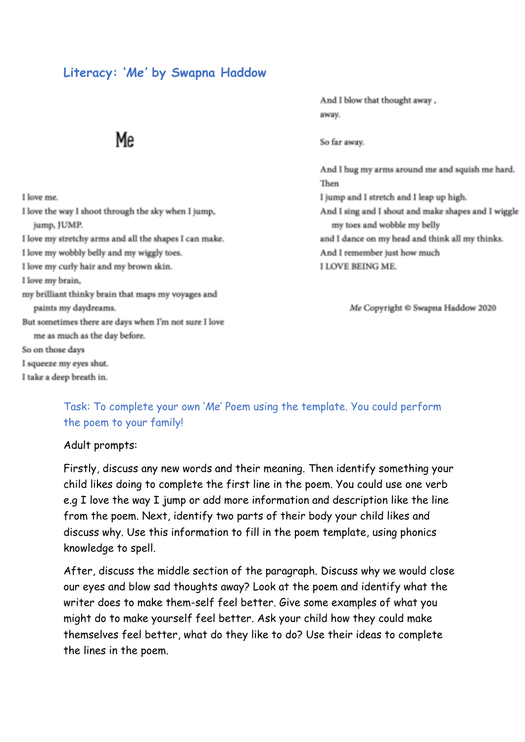## **Literacy: '***Me'* **by Swapna Haddow**

# Me

And I blow that thought away, away.

So far away.

And I hug my arms around me and squish me hard. Then I jump and I stretch and I leap up high. And I sing and I shout and make shapes and I wiggle my toes and wobble my belly and I dance on my head and think all my thinks. And I remember just how much I LOVE BEING ME.

Me Copyright © Swapna Haddow 2020

I love me. I love the way I shoot through the sky when I jump, jump, JUMP. I love my stretchy arms and all the shapes I can make. I love my wobbly belly and my wiggly toes. I love my curly hair and my brown skin. I love my brain, my brilliant thinky brain that maps my voyages and paints my daydreams. But sometimes there are days when I'm not sure I love me as much as the day before. So on those days I squeeze my eyes shut. I take a deep breath in.

## Task: To complete your own '*Me*' Poem using the template. You could perform the poem to your family!

#### Adult prompts:

Firstly, discuss any new words and their meaning. Then identify something your child likes doing to complete the first line in the poem. You could use one verb e.g I love the way I jump or add more information and description like the line from the poem. Next, identify two parts of their body your child likes and discuss why. Use this information to fill in the poem template, using phonics knowledge to spell.

After, discuss the middle section of the paragraph. Discuss why we would close our eyes and blow sad thoughts away? Look at the poem and identify what the writer does to make them-self feel better. Give some examples of what you might do to make yourself feel better. Ask your child how they could make themselves feel better, what do they like to do? Use their ideas to complete the lines in the poem.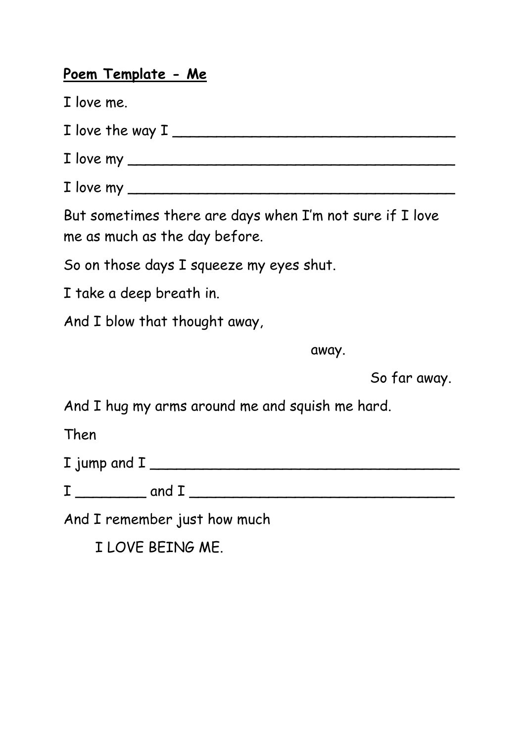# **Poem Template - Me**

- I love me.
- $I$  love the way  $I$   $\overline{\phantom{a}}$
- $I$  love my  $\overline{I}$
- $I$  love my  $\overline{I}$

But sometimes there are days when I'm not sure if I love me as much as the day before.

So on those days I squeeze my eyes shut.

I take a deep breath in.

And I blow that thought away,

away.

So far away.

And I hug my arms around me and squish me hard.

Then

| I jump and I |  |
|--------------|--|
|              |  |

 $I \longrightarrow$  and  $I \longrightarrow$ 

And I remember just how much

I LOVE BEING ME.